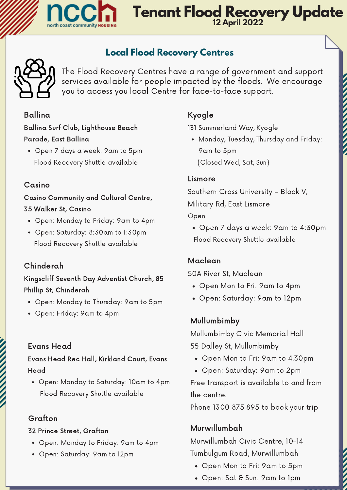

### **Tenant Flood Recovery Update 12 April 2022**

### **Local Flood Recovery Centres**



The Flood Recovery Centres have a range of government and support services available for people impacted by the floods. We encourage you to access you local Centre for face-to-face support.

#### Ballina

Ballina Surf Club, Lighthouse Beach [Parade,](https://goo.gl/maps/avevKHm2NzmVaVQ77) East Ballina

Open 7 days a week: 9am to 5pm Flood Recovery Shuttle available

#### Casino

Casino [Community](https://goo.gl/maps/avevKHm2NzmVaVQ77) and Cultural Centre, 35 Walker St, Casino

- Open: Monday to Friday: 9am to 4pm
- Open: Saturday: 8:30am to 1:30pm Flood Recovery Shuttle available

#### Chinderah

Kingscliff Seventh Day Adventist Church, 85 Phillip St, [Chinderah](https://goo.gl/maps/avevKHm2NzmVaVQ77)

- Open: Monday to Thursday: 9am to 5pm
- Open: Friday: 9am to 4pm

#### Evans Head

Evans Head Rec Hall, Kirkland Court, Evans Head

Open: Monday to Saturday: 10am to 4pm Flood Recovery Shuttle available

#### Grafton

#### 32 Prince Street, Grafton

- Open: Monday to Friday: 9am to 4pm
- Open: Saturday: 9am to 12pm

#### Kyogle

131 Summerland Way, Kyogle

Monday, Tuesday, Thursday and Friday: 9am to 5pm (Closed Wed, Sat, Sun)

#### Lismore

Southern Cross [University](https://g.page/southerncrossuniversity) – Block V, Military Rd, East Lismore

Open

Open 7 days a week: 9am to 4:30pm Flood Recovery Shuttle available

#### Maclean

50A River St, Maclean

- Open Mon to Fri: 9am to 4pm
- Open: Saturday: 9am to 12pm

#### Mullumbimby

Mullumbimby Civic Memorial Hall 55 Dalley St, Mullumbimby

- Open Mon to Fri: 9am to 4.30pm
- Open: Saturday: 9am to 2pm

Free transport is available to and from the centre.

Phone 1300 875 895 to book your trip

#### Murwillumbah

Murwillumbah Civic Centre, 10-14 Tumbulgum Road, Murwillumbah

- Open Mon to Fri: 9am to 5pm
- Open: Sat & Sun: 9am to 1pm